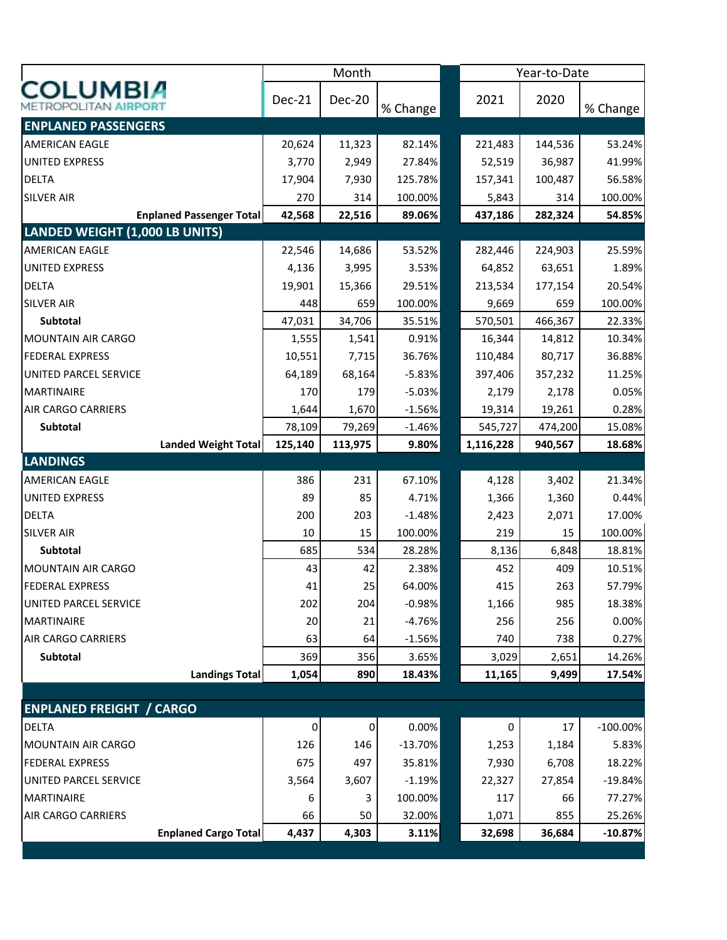|                                 |                                 |         | Month         |           |           | Year-to-Date |             |  |
|---------------------------------|---------------------------------|---------|---------------|-----------|-----------|--------------|-------------|--|
| <b>COLUMBIA</b>                 |                                 | Dec-21  | <b>Dec-20</b> | % Change  | 2021      | 2020         | % Change    |  |
| <b>ENPLANED PASSENGERS</b>      |                                 |         |               |           |           |              |             |  |
| <b>AMERICAN EAGLE</b>           |                                 | 20,624  | 11,323        | 82.14%    | 221,483   | 144,536      | 53.24%      |  |
| <b>UNITED EXPRESS</b>           |                                 | 3,770   | 2,949         | 27.84%    | 52,519    | 36,987       | 41.99%      |  |
| <b>DELTA</b>                    |                                 | 17,904  | 7,930         | 125.78%   | 157,341   | 100,487      | 56.58%      |  |
| <b>SILVER AIR</b>               |                                 | 270     | 314           | 100.00%   | 5,843     | 314          | 100.00%     |  |
|                                 | <b>Enplaned Passenger Total</b> | 42,568  | 22,516        | 89.06%    | 437,186   | 282,324      | 54.85%      |  |
| LANDED WEIGHT (1,000 LB UNITS)  |                                 |         |               |           |           |              |             |  |
| <b>AMERICAN EAGLE</b>           |                                 | 22,546  | 14,686        | 53.52%    | 282,446   | 224,903      | 25.59%      |  |
| <b>UNITED EXPRESS</b>           |                                 | 4,136   | 3,995         | 3.53%     | 64,852    | 63,651       | 1.89%       |  |
| <b>DELTA</b>                    |                                 | 19,901  | 15,366        | 29.51%    | 213,534   | 177,154      | 20.54%      |  |
| <b>SILVER AIR</b>               |                                 | 448     | 659           | 100.00%   | 9,669     | 659          | 100.00%     |  |
| Subtotal                        |                                 | 47,031  | 34,706        | 35.51%    | 570,501   | 466,367      | 22.33%      |  |
| <b>MOUNTAIN AIR CARGO</b>       |                                 | 1,555   | 1,541         | 0.91%     | 16,344    | 14,812       | 10.34%      |  |
| <b>FEDERAL EXPRESS</b>          |                                 | 10,551  | 7,715         | 36.76%    | 110,484   | 80,717       | 36.88%      |  |
| UNITED PARCEL SERVICE           |                                 | 64,189  | 68,164        | $-5.83%$  | 397,406   | 357,232      | 11.25%      |  |
| <b>MARTINAIRE</b>               |                                 | 170     | 179           | $-5.03%$  | 2,179     | 2,178        | 0.05%       |  |
| <b>AIR CARGO CARRIERS</b>       |                                 | 1,644   | 1,670         | $-1.56%$  | 19,314    | 19,261       | 0.28%       |  |
| Subtotal                        |                                 | 78,109  | 79,269        | $-1.46%$  | 545,727   | 474,200      | 15.08%      |  |
|                                 | <b>Landed Weight Total</b>      | 125,140 | 113,975       | 9.80%     | 1,116,228 | 940,567      | 18.68%      |  |
| <b>LANDINGS</b>                 |                                 |         |               |           |           |              |             |  |
| <b>AMERICAN EAGLE</b>           |                                 | 386     | 231           | 67.10%    | 4,128     | 3,402        | 21.34%      |  |
| <b>UNITED EXPRESS</b>           |                                 | 89      | 85            | 4.71%     | 1,366     | 1,360        | 0.44%       |  |
| <b>DELTA</b>                    |                                 | 200     | 203           | $-1.48%$  | 2,423     | 2,071        | 17.00%      |  |
| <b>SILVER AIR</b>               |                                 | 10      | 15            | 100.00%   | 219       | 15           | 100.00%     |  |
| Subtotal                        |                                 | 685     | 534           | 28.28%    | 8,136     | 6,848        | 18.81%      |  |
| <b>MOUNTAIN AIR CARGO</b>       |                                 | 43      | 42            | 2.38%     | 452       | 409          | 10.51%      |  |
| <b>FEDERAL EXPRESS</b>          |                                 | 41      | 25            | 64.00%    | 415       | 263          | 57.79%      |  |
| UNITED PARCEL SERVICE           |                                 | 202     | 204           | $-0.98%$  | 1,166     | 985          | 18.38%      |  |
| <b>MARTINAIRE</b>               |                                 | 20      | 21            | $-4.76%$  | 256       | 256          | 0.00%       |  |
| <b>AIR CARGO CARRIERS</b>       |                                 | 63      | 64            | $-1.56%$  | 740       | 738          | 0.27%       |  |
| Subtotal                        |                                 | 369     | 356           | 3.65%     | 3,029     | 2,651        | 14.26%      |  |
|                                 | <b>Landings Total</b>           | 1,054   | 890           | 18.43%    | 11,165    | 9,499        | 17.54%      |  |
|                                 |                                 |         |               |           |           |              |             |  |
| <b>ENPLANED FREIGHT / CARGO</b> |                                 |         |               |           |           |              |             |  |
| <b>DELTA</b>                    |                                 | 0       | $\pmb{0}$     | 0.00%     | 0         | 17           | $-100.00\%$ |  |
| <b>MOUNTAIN AIR CARGO</b>       |                                 | 126     | 146           | $-13.70%$ | 1,253     | 1,184        | 5.83%       |  |
| <b>FEDERAL EXPRESS</b>          |                                 | 675     | 497           | 35.81%    | 7,930     | 6,708        | 18.22%      |  |
| UNITED PARCEL SERVICE           |                                 | 3,564   | 3,607         | $-1.19%$  | 22,327    | 27,854       | $-19.84%$   |  |
| <b>MARTINAIRE</b>               |                                 | 6       | 3             | 100.00%   | 117       | 66           | 77.27%      |  |
| <b>AIR CARGO CARRIERS</b>       |                                 | 66      | 50            | 32.00%    | 1,071     | 855          | 25.26%      |  |
|                                 | <b>Enplaned Cargo Total</b>     | 4,437   | 4,303         | 3.11%     | 32,698    | 36,684       | $-10.87%$   |  |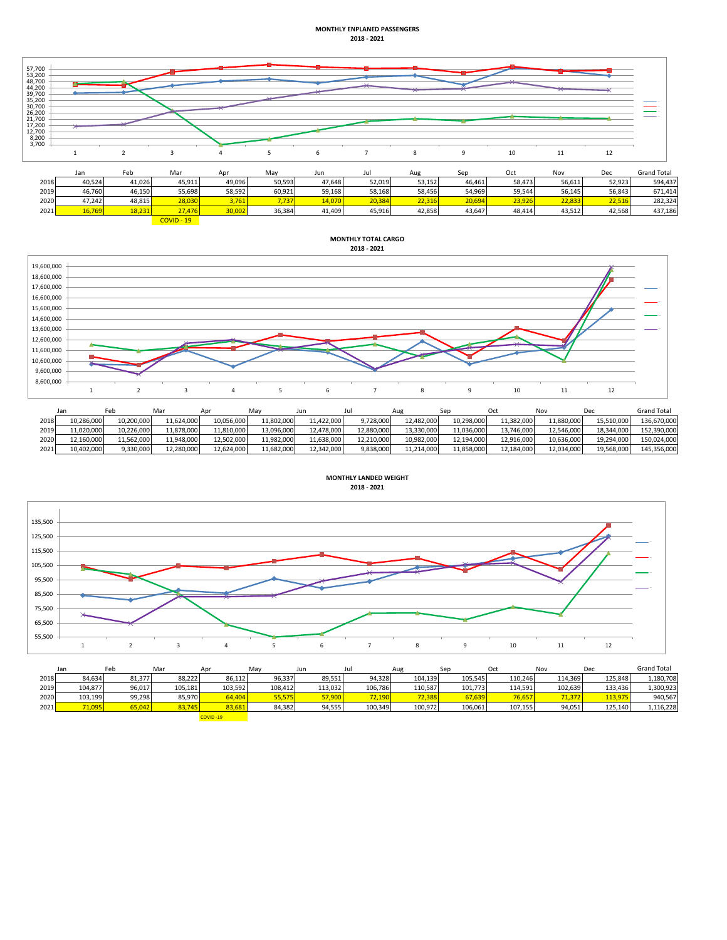## **MONTHLY ENPLANED PASSENGERS 2018 - 2021**



|      | Jan    | Feb    | Ma     | An'    | May    | Jun    |        | Aug    | Sep    | Oct     | Nov    | Dec    | <b>Grand Total</b> |
|------|--------|--------|--------|--------|--------|--------|--------|--------|--------|---------|--------|--------|--------------------|
| 2018 | 40,524 | 41.026 | 45.911 | 49,096 | 50,593 | 47,648 | 52,019 | 53,152 | 46,461 | 58,4731 | 56,611 | 52,923 | 594,437            |
| 2019 | 46,760 | 46,150 | 55,698 | 58,592 | 60,921 | 59.168 | 58,168 | 58,456 | 54,969 | 59,544  | 56,145 | 56,843 | 671.414            |
| 2020 | 47,242 | 48,815 | 28,030 | 761.   | 7,737  | 14,070 | 20,384 | 22.316 | 20.694 | 23,926  | 72.83. | 22.516 | 282.324            |
| 2021 | 16,769 | 18,231 | 27,476 | 30,002 | 36,384 | 41,409 | 45,916 | 42,858 | 43,647 | 48,414  | 43,512 | 42,568 | 437,186            |

 $\frac{20}{19}$ 

## **MONTHLY TOTAL CARGO 2018 - 2021**



|      | Jan        | -eb        | Mar        | Anr        | May        | Jun        | Jul        | Aue        | Sec        | Oct        | Nov        | Dec        | <b>Grand Total</b> |
|------|------------|------------|------------|------------|------------|------------|------------|------------|------------|------------|------------|------------|--------------------|
| 2018 | 10,286,000 | 10.200.000 | 11,624,000 | 10,056,000 | 11,802,000 | 11.422.000 | 9.728.000  | 12.482.000 | 10.298.000 | 11.382.000 | 11.880.000 | 15.510.000 | 136.670.000        |
| 2019 | 11.020.000 | 10.226.000 | 11.878.000 | 11.810.000 | 13,096,000 | 12.478.000 | 12.880.000 | 13.330.000 | 11.036.000 | 13.746.000 | 12.546.000 | 18,344,000 | 152.390.000        |
| 2020 | 12.160.000 | 11.562.000 | 11.948.000 | 12.502.000 | 11.982.000 | 11.638.000 | 12.210.000 | 10.982.000 | 12.194.000 | 12.916.000 | 10.636.000 | 19,294,000 | 150.024.000        |
| 2021 | 10,402,000 | 9,330,000  | 12,280,000 | 12,624,000 | 11,682,000 | 12.342.000 | 9,838,000  | 11,214,000 | 11,858,000 | 12.184.000 | 12,034,000 | 19,568,000 | 145,356,000        |



|      | Jan     | Feb    | Mar     | Apr           | May     | Jun     |         | Aug     | Sep     | Oct     | Nov     | Dec     | <b>Grand Total</b> |
|------|---------|--------|---------|---------------|---------|---------|---------|---------|---------|---------|---------|---------|--------------------|
| 2018 | 84,634  | 81,377 | 88,222  | 86,112        | 96,337  | 89,551  | 94,328  | 104,139 | 105,545 | 110,246 | 114.369 | 125,848 | 1,180,708          |
| 2019 | 104,877 | 96,017 | 105.181 | 103,592       | 108.412 | 113.032 | 106.786 | 110,587 | 101.773 | 114.591 | 102.639 | 133.436 | 1,300,923          |
| 2020 | 103,199 | 99.298 | 85.970  | <b>54,404</b> | 55,575  | 57,900  | 72.190  | 72,388  | 67.639  | 76,657  | 71.372  | 113,975 | 940.567            |
| 2021 | 71,095  | 65.042 | 83,745  | 83,681        | 84,382  | 94.555  | 100,349 | 100.972 | 106,061 | 107.155 | 94,051  | 125.140 | 1,116,228          |
|      |         |        |         | COVID-19      |         |         |         |         |         |         |         |         |                    |

**MONTHLY LANDED WEIGHT**